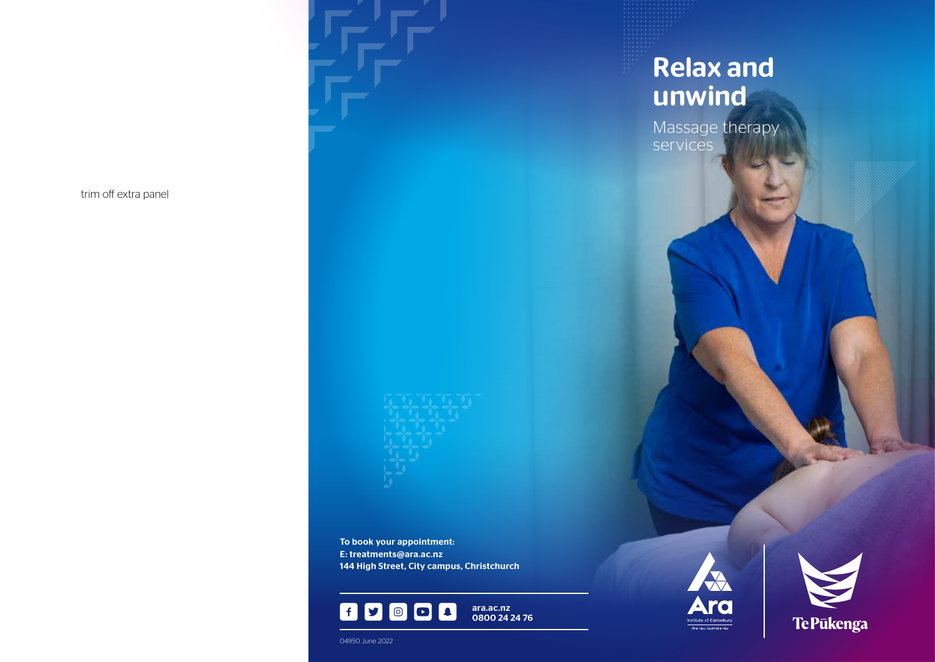To book your appointment: E: treatments@ara.ac.nz 144 High Street, City campus, Christchurch



Relax and unwind

Massage therapy services





04950 June 2022